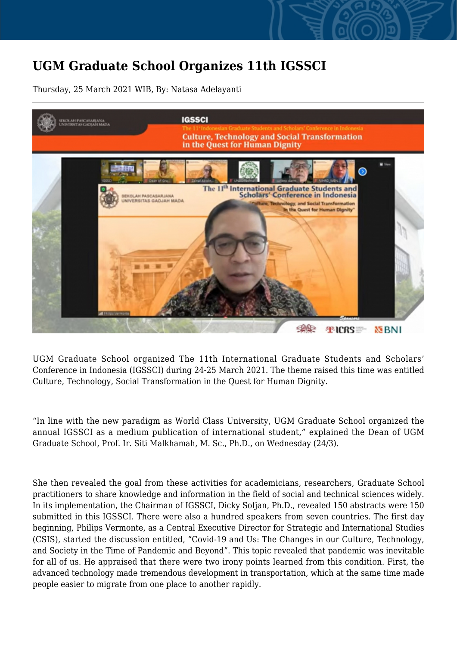## **UGM Graduate School Organizes 11th IGSSCI**

Thursday, 25 March 2021 WIB, By: Natasa Adelayanti



UGM Graduate School organized The 11th International Graduate Students and Scholars' Conference in Indonesia (IGSSCI) during 24-25 March 2021. The theme raised this time was entitled Culture, Technology, Social Transformation in the Quest for Human Dignity.

"In line with the new paradigm as World Class University, UGM Graduate School organized the annual IGSSCI as a medium publication of international student," explained the Dean of UGM Graduate School, Prof. Ir. Siti Malkhamah, M. Sc., Ph.D., on Wednesday (24/3).

She then revealed the goal from these activities for academicians, researchers, Graduate School practitioners to share knowledge and information in the field of social and technical sciences widely. In its implementation, the Chairman of IGSSCI, Dicky Sofjan, Ph.D., revealed 150 abstracts were 150 submitted in this IGSSCI. There were also a hundred speakers from seven countries. The first day beginning, Philips Vermonte, as a Central Executive Director for Strategic and International Studies (CSIS), started the discussion entitled, "Covid-19 and Us: The Changes in our Culture, Technology, and Society in the Time of Pandemic and Beyond". This topic revealed that pandemic was inevitable for all of us. He appraised that there were two irony points learned from this condition. First, the advanced technology made tremendous development in transportation, which at the same time made people easier to migrate from one place to another rapidly.